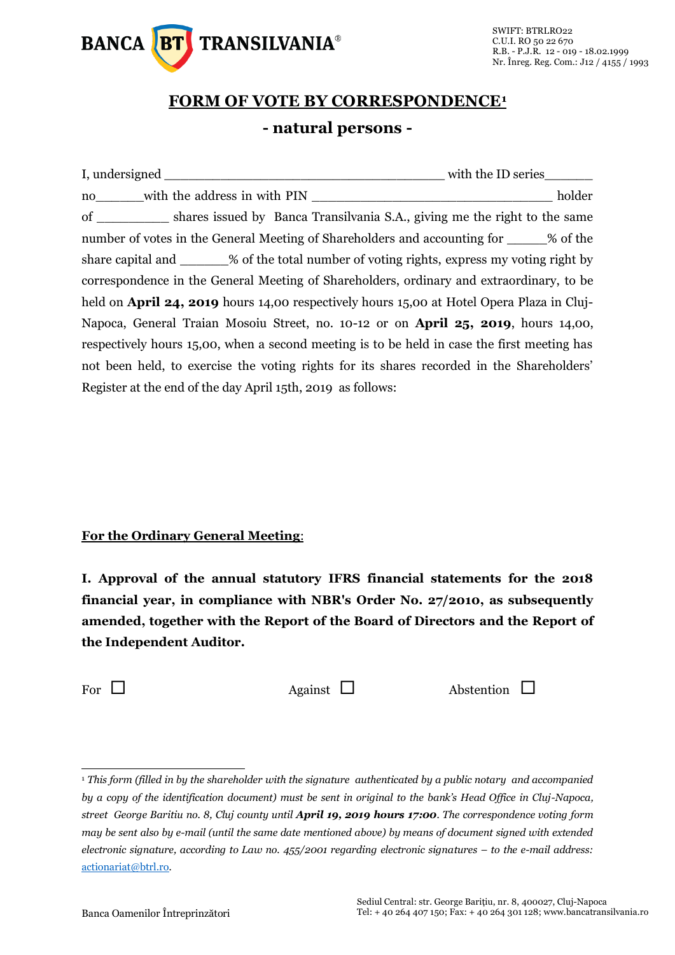

## **FORM OF VOTE BY CORRESPONDENCE<sup>1</sup> - natural persons -**

|                                                                                                  | with the ID series |  |  |  |  |
|--------------------------------------------------------------------------------------------------|--------------------|--|--|--|--|
| no with the address in with PIN                                                                  | holder             |  |  |  |  |
| of _____________ shares issued by Banca Transilvania S.A., giving me the right to the same       |                    |  |  |  |  |
| number of votes in the General Meeting of Shareholders and accounting for ______% of the         |                    |  |  |  |  |
| share capital and _______% of the total number of voting rights, express my voting right by      |                    |  |  |  |  |
| correspondence in the General Meeting of Shareholders, ordinary and extraordinary, to be         |                    |  |  |  |  |
| held on <b>April 24, 2019</b> hours 14,00 respectively hours 15,00 at Hotel Opera Plaza in Cluj- |                    |  |  |  |  |
| Napoca, General Traian Mosoiu Street, no. 10-12 or on <b>April 25, 2019</b> , hours 14,00,       |                    |  |  |  |  |
| respectively hours 15,00, when a second meeting is to be held in case the first meeting has      |                    |  |  |  |  |
| not been held, to exercise the voting rights for its shares recorded in the Shareholders'        |                    |  |  |  |  |
| Register at the end of the day April 15th, 2019 as follows:                                      |                    |  |  |  |  |

## **For the Ordinary General Meeting**:

**I. Approval of the annual statutory IFRS financial statements for the 2018 financial year, in compliance with NBR's Order No. 27/2010, as subsequently amended, together with the Report of the Board of Directors and the Report of the Independent Auditor.**

 $\overline{a}$ 

For  $\Box$  Against  $\Box$  Abstention  $\Box$ 

<sup>1</sup> *This form (filled in by the shareholder with the signature authenticated by a public notary and accompanied by a copy of the identification document) must be sent in original to the bank's Head Office in Cluj-Napoca, street George Baritiu no. 8, Cluj county until April 19, 2019 hours 17:00. The correspondence voting form may be sent also by e-mail (until the same date mentioned above) by means of document signed with extended electronic signature, according to Law no. 455/2001 regarding electronic signatures – to the e-mail address:*  [actionariat@btrl.ro](mailto:actionariat@btrl.ro)*.*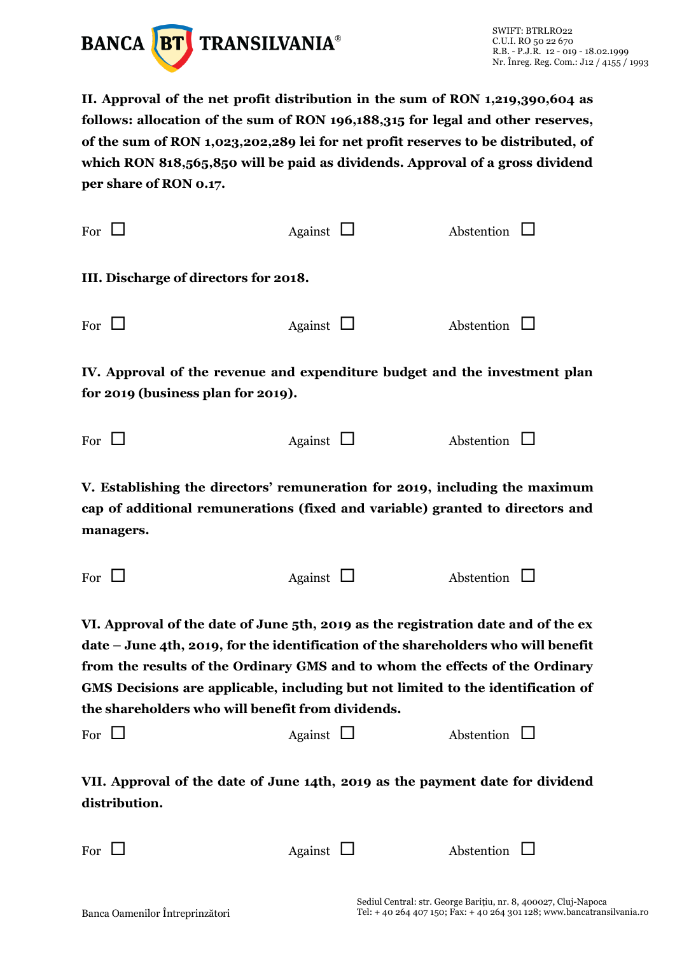

**II. Approval of the net profit distribution in the sum of RON 1,219,390,604 as follows: allocation of the sum of RON 196,188,315 for legal and other reserves, of the sum of RON 1,023,202,289 lei for net profit reserves to be distributed, of which RON 818,565,850 will be paid as dividends. Approval of a gross dividend per share of RON 0.17.**

| For $\Box$                                                                                                                                                                                                                                                                                                                                                                                       | Against $\Box$ |  | Abstention        |  |  |  |  |  |  |  |
|--------------------------------------------------------------------------------------------------------------------------------------------------------------------------------------------------------------------------------------------------------------------------------------------------------------------------------------------------------------------------------------------------|----------------|--|-------------------|--|--|--|--|--|--|--|
| III. Discharge of directors for 2018.                                                                                                                                                                                                                                                                                                                                                            |                |  |                   |  |  |  |  |  |  |  |
| For $\Box$                                                                                                                                                                                                                                                                                                                                                                                       | Against $\Box$ |  | Abstention        |  |  |  |  |  |  |  |
| IV. Approval of the revenue and expenditure budget and the investment plan<br>for 2019 (business plan for 2019).                                                                                                                                                                                                                                                                                 |                |  |                   |  |  |  |  |  |  |  |
| For $\Box$                                                                                                                                                                                                                                                                                                                                                                                       | Against $\Box$ |  | Abstention $\Box$ |  |  |  |  |  |  |  |
| V. Establishing the directors' remuneration for 2019, including the maximum<br>cap of additional remunerations (fixed and variable) granted to directors and<br>managers.                                                                                                                                                                                                                        |                |  |                   |  |  |  |  |  |  |  |
| For $\Box$                                                                                                                                                                                                                                                                                                                                                                                       | Against $\Box$ |  | Abstention $\Box$ |  |  |  |  |  |  |  |
| VI. Approval of the date of June 5th, 2019 as the registration date and of the ex<br>date – June 4th, 2019, for the identification of the shareholders who will benefit<br>from the results of the Ordinary GMS and to whom the effects of the Ordinary<br>GMS Decisions are applicable, including but not limited to the identification of<br>the shareholders who will benefit from dividends. |                |  |                   |  |  |  |  |  |  |  |
| For $\Box$                                                                                                                                                                                                                                                                                                                                                                                       | Against $\Box$ |  | Abstention        |  |  |  |  |  |  |  |
| VII. Approval of the date of June 14th, 2019 as the payment date for dividend<br>distribution.                                                                                                                                                                                                                                                                                                   |                |  |                   |  |  |  |  |  |  |  |
|                                                                                                                                                                                                                                                                                                                                                                                                  |                |  |                   |  |  |  |  |  |  |  |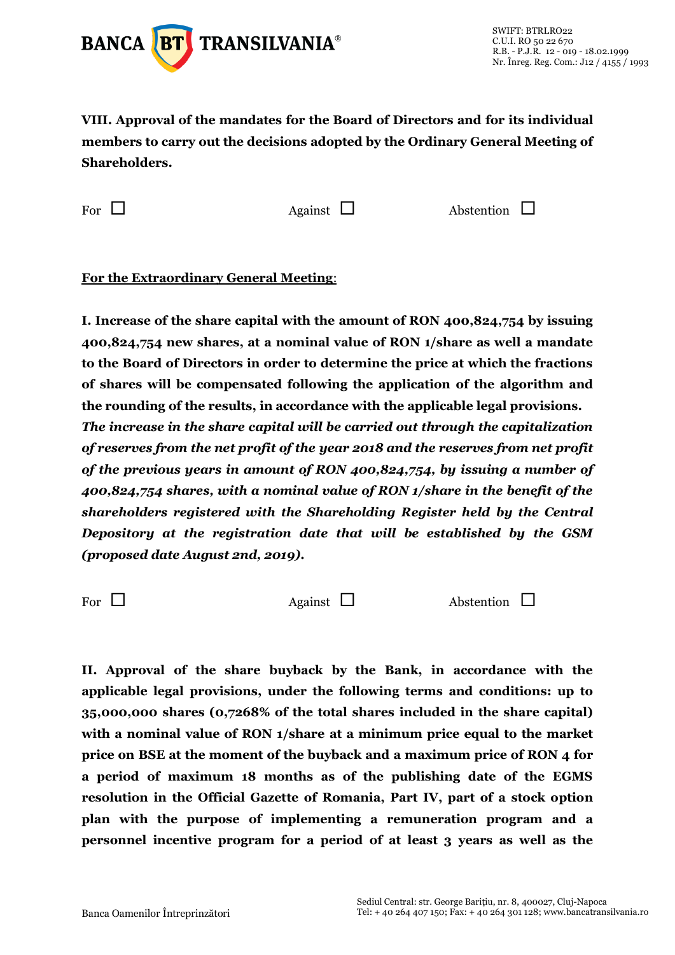

**VIII. Approval of the mandates for the Board of Directors and for its individual members to carry out the decisions adopted by the Ordinary General Meeting of Shareholders.**

For  $\Box$  Against  $\Box$  Abstention  $\Box$ 

**For the Extraordinary General Meeting**:

**I. Increase of the share capital with the amount of RON 400,824,754 by issuing 400,824,754 new shares, at a nominal value of RON 1/share as well a mandate to the Board of Directors in order to determine the price at which the fractions of shares will be compensated following the application of the algorithm and the rounding of the results, in accordance with the applicable legal provisions.**  *The increase in the share capital will be carried out through the capitalization of reserves from the net profit of the year 2018 and the reserves from net profit of the previous years in amount of RON 400,824,754, by issuing a number of 400,824,754 shares, with a nominal value of RON 1/share in the benefit of the shareholders registered with the Shareholding Register held by the Central Depository at the registration date that will be established by the GSM (proposed date August 2nd, 2019).*

For  $\Box$  Against  $\Box$  Abstention  $\Box$ 

**II. Approval of the share buyback by the Bank, in accordance with the applicable legal provisions, under the following terms and conditions: up to 35,000,000 shares (0,7268% of the total shares included in the share capital) with a nominal value of RON 1/share at a minimum price equal to the market price on BSE at the moment of the buyback and a maximum price of RON 4 for a period of maximum 18 months as of the publishing date of the EGMS resolution in the Official Gazette of Romania, Part IV, part of a stock option plan with the purpose of implementing a remuneration program and a personnel incentive program for a period of at least 3 years as well as the**